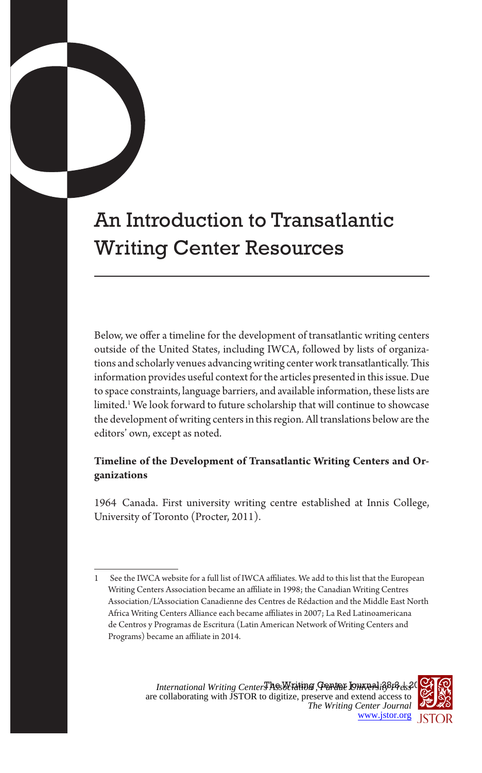# An Introduction to Transatlantic Writing Center Resources

Below, we offer a timeline for the development of transatlantic writing centers outside of the United States, including IWCA, followed by lists of organizations and scholarly venues advancing writing center work transatlantically. This information provides useful context for the articles presented in this issue. Due to space constraints, language barriers, and available information, these lists are limited.1 We look forward to future scholarship that will continue to showcase the development of writing centers in this region. All translations below are the editors' own, except as noted.

# **Timeline of the Development of Transatlantic Writing Centers and Organizations**

1964 Canada. First university writing centre established at Innis College, University of Toronto (Procter, 2011).

See the IWCA website for a full list of IWCA affiliates. We add to this list that the European Writing Centers Association became an affiliate in 1998; the Canadian Writing Centres Association/L'Association Canadienne des Centres de Rédaction and the Middle East North Africa Writing Centers Alliance each became affiliates in 2007; La Red Latinoamericana de Centros y Programas de Escritura (Latin American Network of Writing Centers and Programs) became an affiliate in 2014.

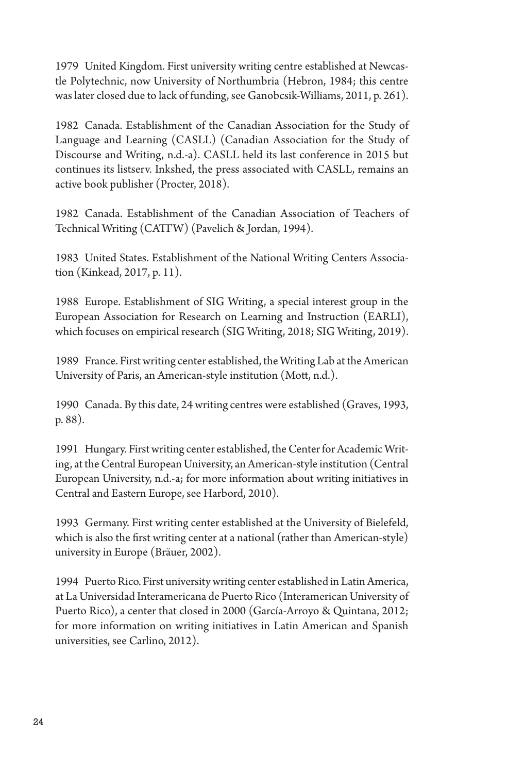1979 United Kingdom. First university writing centre established at Newcastle Polytechnic, now University of Northumbria (Hebron, 1984; this centre was later closed due to lack of funding, see Ganobcsik-Williams, 2011, p. 261).

1982 Canada. Establishment of the Canadian Association for the Study of Language and Learning (CASLL) (Canadian Association for the Study of Discourse and Writing, n.d.-a). CASLL held its last conference in 2015 but continues its listserv. Inkshed, the press associated with CASLL, remains an active book publisher (Procter, 2018).

1982 Canada. Establishment of the Canadian Association of Teachers of Technical Writing (CATTW) (Pavelich & Jordan, 1994).

1983 United States. Establishment of the National Writing Centers Association (Kinkead, 2017, p. 11).

1988 Europe. Establishment of SIG Writing, a special interest group in the European Association for Research on Learning and Instruction (EARLI), which focuses on empirical research (SIG Writing, 2018; SIG Writing, 2019).

1989 France. First writing center established, the Writing Lab at the American University of Paris, an American-style institution (Mott, n.d.).

1990 Canada. By this date, 24 writing centres were established (Graves, 1993, p. 88).

1991 Hungary. First writing center established, the Center for Academic Writing, at the Central European University, an American-style institution (Central European University, n.d.-a; for more information about writing initiatives in Central and Eastern Europe, see Harbord, 2010).

1993 Germany. First writing center established at the University of Bielefeld, which is also the first writing center at a national (rather than American-style) university in Europe (Bräuer, 2002).

1994 Puerto Rico. First university writing center established in Latin America, at La Universidad Interamericana de Puerto Rico (Interamerican University of Puerto Rico), a center that closed in 2000 (García-Arroyo & Quintana, 2012; for more information on writing initiatives in Latin American and Spanish universities, see Carlino, 2012).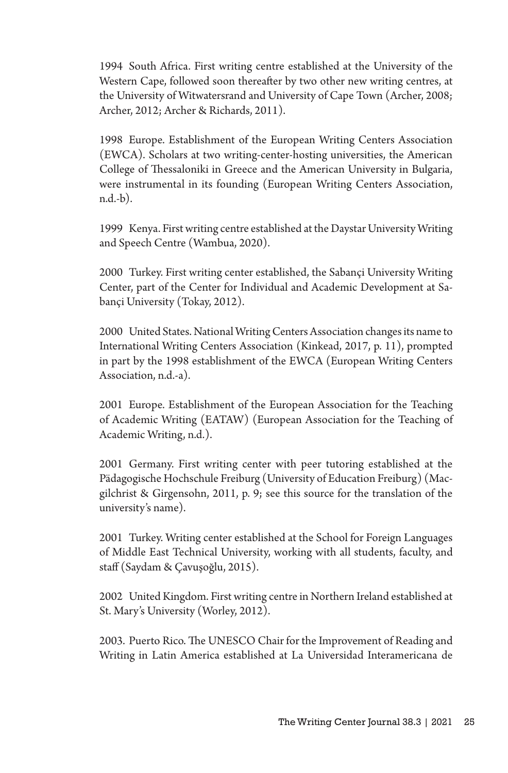1994 South Africa. First writing centre established at the University of the Western Cape, followed soon thereafter by two other new writing centres, at the University of Witwatersrand and University of Cape Town (Archer, 2008; Archer, 2012; Archer & Richards, 2011).

1998 Europe. Establishment of the European Writing Centers Association (EWCA). Scholars at two writing-center-hosting universities, the American College of Thessaloniki in Greece and the American University in Bulgaria, were instrumental in its founding (European Writing Centers Association, n.d.-b).

1999 Kenya. First writing centre established at the Daystar University Writing and Speech Centre (Wambua, 2020).

2000 Turkey. First writing center established, the Sabançi University Writing Center, part of the Center for Individual and Academic Development at Sabançi University (Tokay, 2012).

2000 United States. National Writing Centers Association changes its name to International Writing Centers Association (Kinkead, 2017, p. 11), prompted in part by the 1998 establishment of the EWCA (European Writing Centers Association, n.d.-a).

2001 Europe. Establishment of the European Association for the Teaching of Academic Writing (EATAW) (European Association for the Teaching of Academic Writing, n.d.).

2001 Germany. First writing center with peer tutoring established at the Pädagogische Hochschule Freiburg (University of Education Freiburg) (Macgilchrist & Girgensohn, 2011, p. 9; see this source for the translation of the university's name).

2001 Turkey. Writing center established at the School for Foreign Languages of Middle East Technical University, working with all students, faculty, and staff (Saydam & Çavuşoğlu, 2015).

2002 United Kingdom. First writing centre in Northern Ireland established at St. Mary's University (Worley, 2012).

2003. Puerto Rico. The UNESCO Chair for the Improvement of Reading and Writing in Latin America established at La Universidad Interamericana de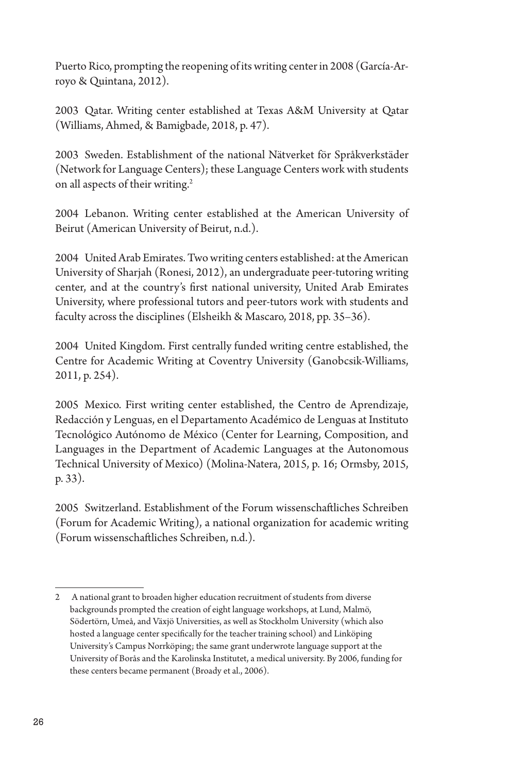Puerto Rico, prompting the reopening of its writing center in 2008 (García-Arroyo & Quintana, 2012).

2003 Qatar. Writing center established at Texas A&M University at Qatar (Williams, Ahmed, & Bamigbade, 2018, p. 47).

2003 Sweden. Establishment of the national Nätverket för Språkverkstäder (Network for Language Centers); these Language Centers work with students on all aspects of their writing.<sup>2</sup>

2004 Lebanon. Writing center established at the American University of Beirut (American University of Beirut, n.d.).

2004 United Arab Emirates. Two writing centers established: at the American University of Sharjah (Ronesi, 2012), an undergraduate peer-tutoring writing center, and at the country's first national university, United Arab Emirates University, where professional tutors and peer-tutors work with students and faculty across the disciplines (Elsheikh & Mascaro, 2018, pp. 35–36).

2004 United Kingdom. First centrally funded writing centre established, the Centre for Academic Writing at Coventry University (Ganobcsik-Williams, 2011, p. 254).

2005 Mexico. First writing center established, the Centro de Aprendizaje, Redacción y Lenguas, en el Departamento Académico de Lenguas at Instituto Tecnológico Autónomo de México (Center for Learning, Composition, and Languages in the Department of Academic Languages at the Autonomous Technical University of Mexico) (Molina-Natera, 2015, p. 16; Ormsby, 2015, p. 33).

2005 Switzerland. Establishment of the Forum wissenschaftliches Schreiben (Forum for Academic Writing), a national organization for academic writing (Forum wissenschaftliches Schreiben, n.d.).

<sup>2</sup> A national grant to broaden higher education recruitment of students from diverse backgrounds prompted the creation of eight language workshops, at Lund, Malmö, Södertörn, Umeå, and Växjö Universities, as well as Stockholm University (which also hosted a language center specifically for the teacher training school) and Linköping University's Campus Norrköping; the same grant underwrote language support at the University of Borås and the Karolinska Institutet, a medical university. By 2006, funding for these centers became permanent (Broady et al., 2006).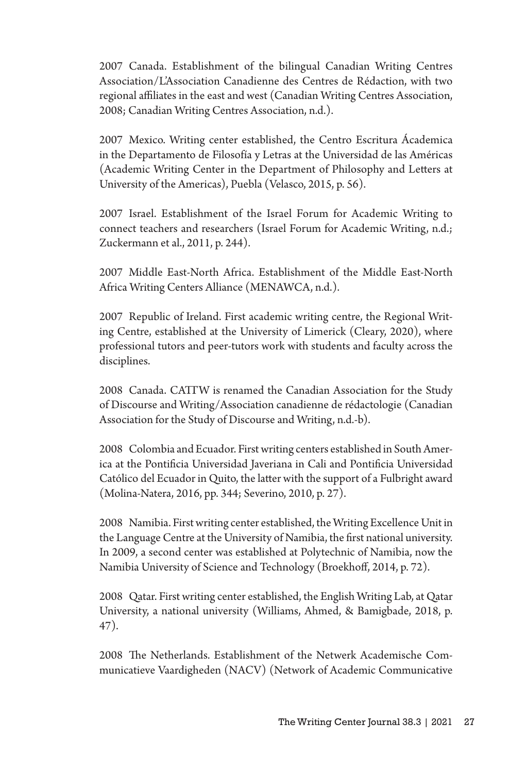2007 Canada. Establishment of the bilingual Canadian Writing Centres Association/L'Association Canadienne des Centres de Rédaction, with two regional affiliates in the east and west (Canadian Writing Centres Association, 2008; Canadian Writing Centres Association, n.d.).

2007 Mexico. Writing center established, the Centro Escritura Ácademica in the Departamento de Filosofía y Letras at the Universidad de las Américas (Academic Writing Center in the Department of Philosophy and Letters at University of the Americas), Puebla (Velasco, 2015, p. 56).

2007 Israel. Establishment of the Israel Forum for Academic Writing to connect teachers and researchers (Israel Forum for Academic Writing, n.d.; Zuckermann et al., 2011, p. 244).

2007 Middle East-North Africa. Establishment of the Middle East-North Africa Writing Centers Alliance (MENAWCA, n.d.).

2007 Republic of Ireland. First academic writing centre, the Regional Writing Centre, established at the University of Limerick (Cleary, 2020), where professional tutors and peer-tutors work with students and faculty across the disciplines.

2008 Canada. CATTW is renamed the Canadian Association for the Study of Discourse and Writing/Association canadienne de rédactologie (Canadian Association for the Study of Discourse and Writing, n.d.-b).

2008 Colombia and Ecuador. First writing centers established in South America at the Pontificia Universidad Javeriana in Cali and Pontificia Universidad Católico del Ecuador in Quito, the latter with the support of a Fulbright award (Molina-Natera, 2016, pp. 344; Severino, 2010, p. 27).

2008 Namibia. First writing center established, the Writing Excellence Unit in the Language Centre at the University of Namibia, the first national university. In 2009, a second center was established at Polytechnic of Namibia, now the Namibia University of Science and Technology (Broekhoff, 2014, p. 72).

2008 Qatar. First writing center established, the English Writing Lab, at Qatar University, a national university (Williams, Ahmed, & Bamigbade, 2018, p. 47).

2008 The Netherlands. Establishment of the Netwerk Academische Communicatieve Vaardigheden (NACV) (Network of Academic Communicative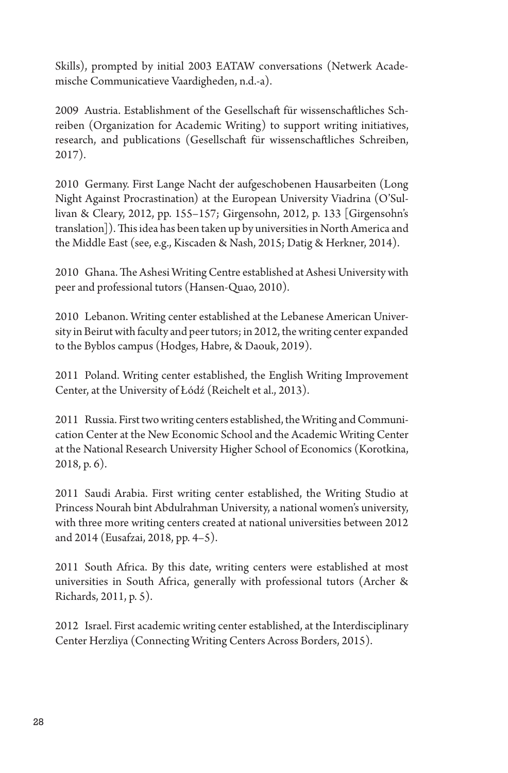Skills), prompted by initial 2003 EATAW conversations (Netwerk Academische Communicatieve Vaardigheden, n.d.-a).

2009 Austria. Establishment of the Gesellschaft für wissenschaftliches Schreiben (Organization for Academic Writing) to support writing initiatives, research, and publications (Gesellschaft für wissenschaftliches Schreiben, 2017).

2010 Germany. First Lange Nacht der aufgeschobenen Hausarbeiten (Long Night Against Procrastination) at the European University Viadrina (O'Sullivan & Cleary, 2012, pp. 155–157; Girgensohn, 2012, p. 133 [Girgensohn's translation]). This idea has been taken up by universities in North America and the Middle East (see, e.g., Kiscaden & Nash, 2015; Datig & Herkner, 2014).

2010 Ghana. The Ashesi Writing Centre established at Ashesi University with peer and professional tutors (Hansen-Quao, 2010).

2010 Lebanon. Writing center established at the Lebanese American University in Beirut with faculty and peer tutors; in 2012, the writing center expanded to the Byblos campus (Hodges, Habre, & Daouk, 2019).

2011 Poland. Writing center established, the English Writing Improvement Center, at the University of Łódź (Reichelt et al., 2013).

2011 Russia. First two writing centers established, the Writing and Communication Center at the New Economic School and the Academic Writing Center at the National Research University Higher School of Economics (Korotkina, 2018, p. 6).

2011 Saudi Arabia. First writing center established, the Writing Studio at Princess Nourah bint Abdulrahman University, a national women's university, with three more writing centers created at national universities between 2012 and 2014 (Eusafzai, 2018, pp. 4–5).

2011 South Africa. By this date, writing centers were established at most universities in South Africa, generally with professional tutors (Archer & Richards, 2011, p. 5).

2012 Israel. First academic writing center established, at the Interdisciplinary Center Herzliya (Connecting Writing Centers Across Borders, 2015).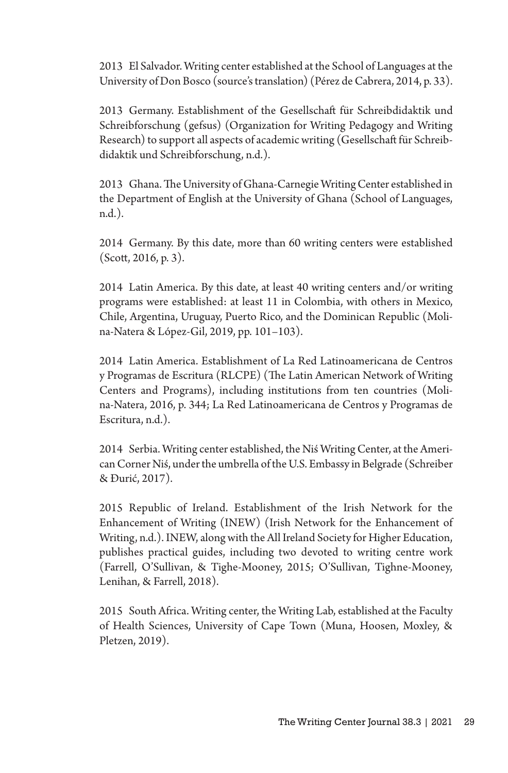2013 El Salvador. Writing center established at the School of Languages at the University of Don Bosco (source's translation) (Pérez de Cabrera, 2014, p. 33).

2013 Germany. Establishment of the Gesellschaft für Schreibdidaktik und Schreibforschung (gefsus) (Organization for Writing Pedagogy and Writing Research) to support all aspects of academic writing (Gesellschaft für Schreibdidaktik und Schreibforschung, n.d.).

2013 Ghana. The University of Ghana-Carnegie Writing Center established in the Department of English at the University of Ghana (School of Languages, n.d.).

2014 Germany. By this date, more than 60 writing centers were established (Scott, 2016, p. 3).

2014 Latin America. By this date, at least 40 writing centers and/or writing programs were established: at least 11 in Colombia, with others in Mexico, Chile, Argentina, Uruguay, Puerto Rico, and the Dominican Republic (Molina-Natera & López-Gil, 2019, pp. 101–103).

2014 Latin America. Establishment of La Red Latinoamericana de Centros y Programas de Escritura (RLCPE) (The Latin American Network of Writing Centers and Programs), including institutions from ten countries (Molina-Natera, 2016, p. 344; La Red Latinoamericana de Centros y Programas de Escritura, n.d.).

2014 Serbia. Writing center established, the Niś Writing Center, at the American Corner Niś, under the umbrella of the U.S. Embassy in Belgrade (Schreiber & Đurić, 2017).

2015 Republic of Ireland. Establishment of the Irish Network for the Enhancement of Writing (INEW) (Irish Network for the Enhancement of Writing, n.d.). INEW, along with the All Ireland Society for Higher Education, publishes practical guides, including two devoted to writing centre work (Farrell, O'Sullivan, & Tighe-Mooney, 2015; O'Sullivan, Tighne-Mooney, Lenihan, & Farrell, 2018).

2015 South Africa. Writing center, the Writing Lab, established at the Faculty of Health Sciences, University of Cape Town (Muna, Hoosen, Moxley, & Pletzen, 2019).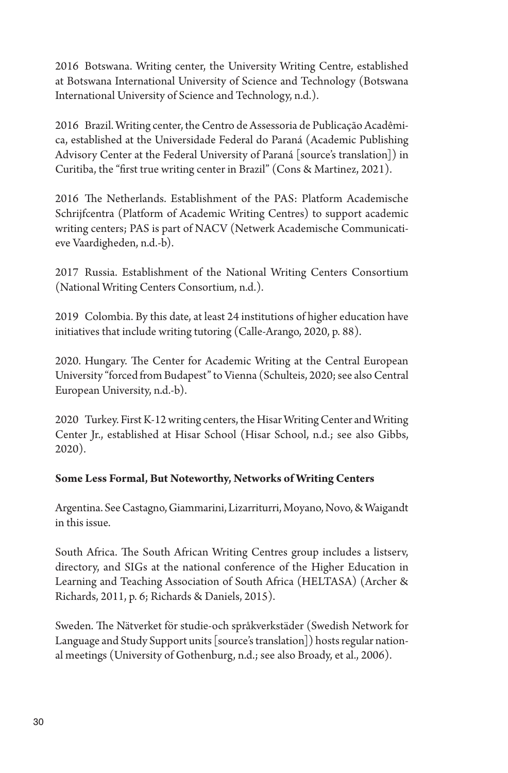2016 Botswana. Writing center, the University Writing Centre, established at Botswana International University of Science and Technology (Botswana International University of Science and Technology, n.d.).

2016 Brazil. Writing center, the Centro de Assessoria de Publicação Acadêmica, established at the Universidade Federal do Paraná (Academic Publishing Advisory Center at the Federal University of Paraná [source's translation]) in Curitiba, the "first true writing center in Brazil" (Cons & Martinez, 2021).

2016 The Netherlands. Establishment of the PAS: Platform Academische Schrijfcentra (Platform of Academic Writing Centres) to support academic writing centers; PAS is part of NACV (Netwerk Academische Communicatieve Vaardigheden, n.d.-b).

2017 Russia. Establishment of the National Writing Centers Consortium (National Writing Centers Consortium, n.d.).

2019 Colombia. By this date, at least 24 institutions of higher education have initiatives that include writing tutoring (Calle-Arango, 2020, p. 88).

2020. Hungary. The Center for Academic Writing at the Central European University "forced from Budapest" to Vienna (Schulteis, 2020; see also Central European University, n.d.-b).

2020 Turkey. First K-12 writing centers, the Hisar Writing Center and Writing Center Jr., established at Hisar School (Hisar School, n.d.; see also Gibbs, 2020).

# **Some Less Formal, But Noteworthy, Networks of Writing Centers**

Argentina. See Castagno, Giammarini, Lizarriturri, Moyano, Novo, & Waigandt in this issue.

South Africa. The South African Writing Centres group includes a listserv, directory, and SIGs at the national conference of the Higher Education in Learning and Teaching Association of South Africa (HELTASA) (Archer & Richards, 2011, p. 6; Richards & Daniels, 2015).

Sweden. The Nätverket för studie-och språkverkstäder (Swedish Network for Language and Study Support units [source's translation]) hosts regular national meetings (University of Gothenburg, n.d.; see also Broady, et al., 2006).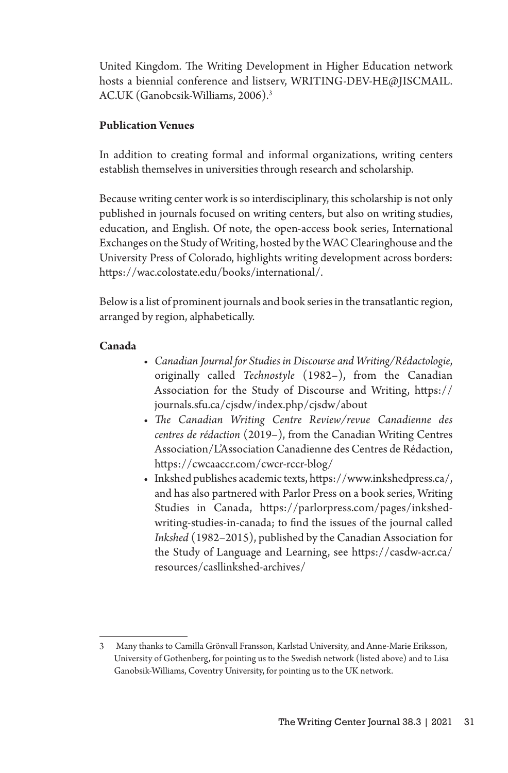United Kingdom. The Writing Development in Higher Education network hosts a biennial conference and listserv, WRITING-DEV-HE@JISCMAIL. AC.UK (Ganobcsik-Williams, 2006).3

## **Publication Venues**

In addition to creating formal and informal organizations, writing centers establish themselves in universities through research and scholarship.

Because writing center work is so interdisciplinary, this scholarship is not only published in journals focused on writing centers, but also on writing studies, education, and English. Of note, the open-access book series, International Exchanges on the Study of Writing, hosted by the WAC Clearinghouse and the University Press of Colorado, highlights writing development across borders: https://wac.colostate.edu/books/international/.

Below is a list of prominent journals and book series in the transatlantic region, arranged by region, alphabetically.

#### **Canada**

- *Canadian Journal for Studies in Discourse and Writing/Rédactologie*, originally called *Technostyle* (1982–), from the Canadian Association for the Study of Discourse and Writing, https:// journals.sfu.ca/cjsdw/index.php/cjsdw/about
- *The Canadian Writing Centre Review/revue Canadienne des centres de rédaction* (2019–), from the Canadian Writing Centres Association/L'Association Canadienne des Centres de Rédaction, https://cwcaaccr.com/cwcr-rccr-blog/
- Inkshed publishes academic texts, https://www.inkshedpress.ca/, and has also partnered with Parlor Press on a book series, Writing Studies in Canada, https://parlorpress.com/pages/inkshedwriting-studies-in-canada; to find the issues of the journal called *Inkshed* (1982–2015), published by the Canadian Association for the Study of Language and Learning, see https://casdw-acr.ca/ resources/casllinkshed-archives/

<sup>3</sup> Many thanks to Camilla Grönvall Fransson, Karlstad University, and Anne-Marie Eriksson, University of Gothenberg, for pointing us to the Swedish network (listed above) and to Lisa Ganobsik-Williams, Coventry University, for pointing us to the UK network.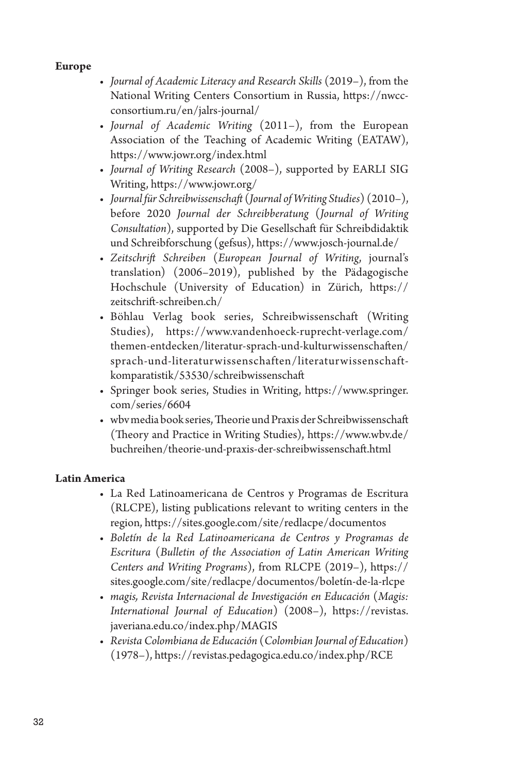#### **Europe**

- *Journal of Academic Literacy and Research Skills* (2019–), from the National Writing Centers Consortium in Russia, https://nwccconsortium.ru/en/jalrs-journal/
- *Journal of Academic Writing* (2011–), from the European Association of the Teaching of Academic Writing (EATAW), https://www.jowr.org/index.html
- *Journal of Writing Research* (2008–), supported by EARLI SIG Writing, https://www.jowr.org/
- *Journal für Schreibwissenschaft* (*Journal of Writing Studies*) (2010–), before 2020 *Journal der Schreibberatung* (*Journal of Writing Consultation*), supported by Die Gesellschaft für Schreibdidaktik und Schreibforschung (gefsus), https://www.josch-journal.de/
- *Zeitschrift Schreiben* (*European Journal of Writing*, journal's translation) (2006–2019), published by the Pädagogische Hochschule (University of Education) in Zürich, https:// zeitschrift-schreiben.ch/
- Böhlau Verlag book series, Schreibwissenschaft (Writing Studies), https://www.vandenhoeck-ruprecht-verlage.com/ themen-entdecken/literatur-sprach-und-kulturwissenschaften/ sprach-und-literaturwissenschaften/literaturwissenschaftkomparatistik/53530/schreibwissenschaft
- Springer book series, Studies in Writing, https://www.springer. com/series/6604
- wbv media book series, Theorie und Praxis der Schreibwissenschaft (Theory and Practice in Writing Studies), https://www.wbv.de/ buchreihen/theorie-und-praxis-der-schreibwissenschaft.html

## **Latin America**

- La Red Latinoamericana de Centros y Programas de Escritura (RLCPE), listing publications relevant to writing centers in the region, https://sites.google.com/site/redlacpe/documentos
- *Boletín de la Red Latinoamericana de Centros y Programas de Escritura* (*Bulletin of the Association of Latin American Writing Centers and Writing Programs*), from RLCPE (2019–), https:// sites.google.com/site/redlacpe/documentos/boletín-de-la-rlcpe
- *magis, Revista Internacional de Investigación en Educación* (*Magis: International Journal of Education*) (2008–), https://revistas. javeriana.edu.co/index.php/MAGIS
- *Revista Colombiana de Educación* (*Colombian Journal of Education*) (1978–), https://revistas.pedagogica.edu.co/index.php/RCE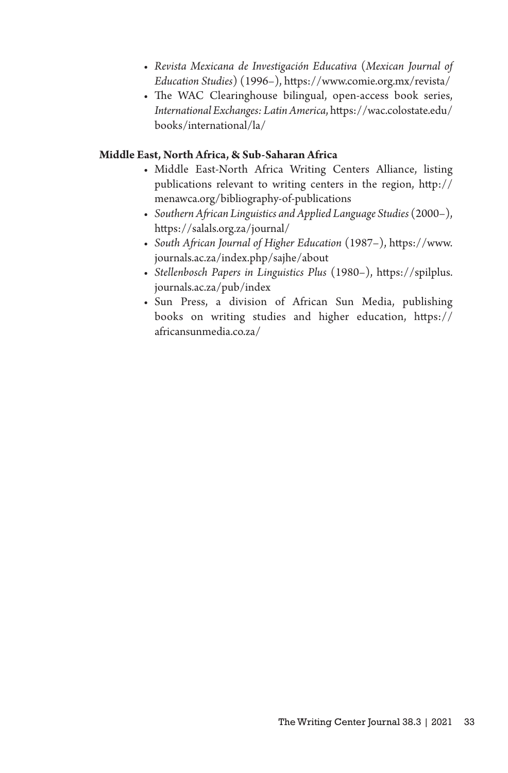- *Revista Mexicana de Investigación Educativa* (*Mexican Journal of Education Studies*) (1996–), https://www.comie.org.mx/revista/
- The WAC Clearinghouse bilingual, open-access book series, *International Exchanges: Latin America*, https://wac.colostate.edu/ books/international/la/

#### **Middle East, North Africa, & Sub-Saharan Africa**

- Middle East-North Africa Writing Centers Alliance, listing publications relevant to writing centers in the region, http:// menawca.org/bibliography-of-publications
- *Southern African Linguistics and Applied Language Studies* (2000–), https://salals.org.za/journal/
- *South African Journal of Higher Education* (1987–), https://www. journals.ac.za/index.php/sajhe/about
- *Stellenbosch Papers in Linguistics Plus* (1980–), https://spilplus. journals.ac.za/pub/index
- Sun Press, a division of African Sun Media, publishing books on writing studies and higher education, https:// africansunmedia.co.za/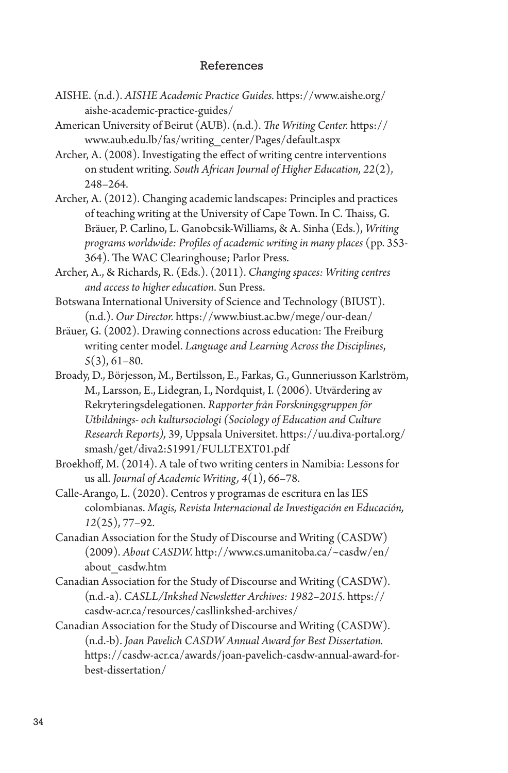## References

- AISHE. (n.d.). *AISHE Academic Practice Guides.* https://www.aishe.org/ aishe-academic-practice-guides/
- American University of Beirut (AUB). (n.d.). *The Writing Center.* https:// www.aub.edu.lb/fas/writing\_center/Pages/default.aspx
- Archer, A. (2008). Investigating the effect of writing centre interventions on student writing. *South African Journal of Higher Education, 22*(2), 248–264.
- Archer, A. (2012). Changing academic landscapes: Principles and practices of teaching writing at the University of Cape Town. In C. Thaiss, G. Bräuer, P. Carlino, L. Ganobcsik-Williams, & A. Sinha (Eds.), *Writing programs worldwide: Profiles of academic writing in many places* (pp. 353- 364). The WAC Clearinghouse; Parlor Press.
- Archer, A., & Richards, R. (Eds.). (2011). *Changing spaces: Writing centres and access to higher education*. Sun Press.
- Botswana International University of Science and Technology (BIUST). (n.d.). *Our Director.* https://www.biust.ac.bw/mege/our-dean/
- Bräuer, G. (2002). Drawing connections across education: The Freiburg writing center model. *Language and Learning Across the Disciplines*, *5*(3), 61–80.
- Broady, D., Börjesson, M., Bertilsson, E., Farkas, G., Gunneriusson Karlström, M., Larsson, E., Lidegran, I., Nordquist, I. (2006). Utvärdering av Rekryteringsdelegationen. *Rapporter från Forskningsgruppen för Utbildnings- och kultursociologi (Sociology of Education and Culture Research Reports),* 39, Uppsala Universitet. https://uu.diva-portal.org/ smash/get/diva2:51991/FULLTEXT01.pdf
- Broekhoff, M. (2014). A tale of two writing centers in Namibia: Lessons for us all. *Journal of Academic Writing, 4*(1), 66–78.
- Calle-Arango, L. (2020). Centros y programas de escritura en las IES colombianas. *Magis, Revista Internacional de Investigación en Educación, 12*(25), 77–92.
- Canadian Association for the Study of Discourse and Writing (CASDW) (2009). *About CASDW.* http://www.cs.umanitoba.ca/~casdw/en/ about\_casdw.htm
- Canadian Association for the Study of Discourse and Writing (CASDW). (n.d.-a). *CASLL/Inkshed Newsletter Archives: 1982–2015.* https:// casdw-acr.ca/resources/casllinkshed-archives/
- Canadian Association for the Study of Discourse and Writing (CASDW). (n.d.-b). *Joan Pavelich CASDW Annual Award for Best Dissertation.*  https://casdw-acr.ca/awards/joan-pavelich-casdw-annual-award-forbest-dissertation/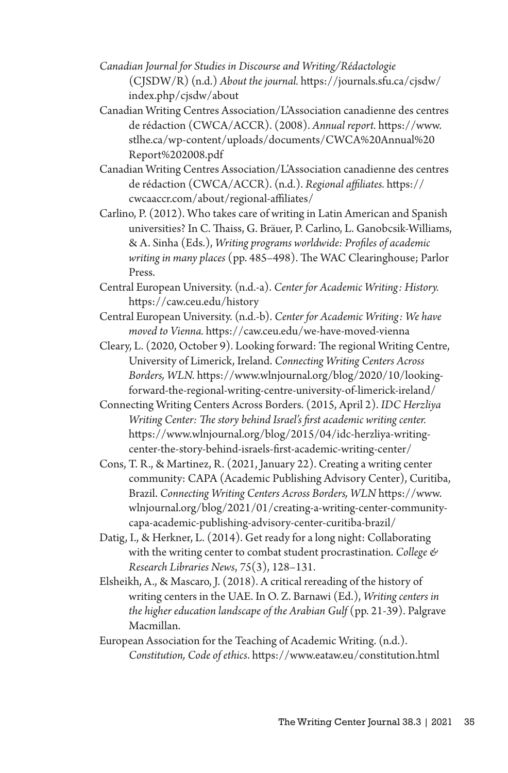- *Canadian Journal for Studies in Discourse and Writing/Rédactologie* (CJSDW/R) (n.d.) *About the journal.* https://journals.sfu.ca/cjsdw/ index.php/cjsdw/about
- Canadian Writing Centres Association/L'Association canadienne des centres de rédaction (CWCA/ACCR). (2008). *Annual report.* https://www. stlhe.ca/wp-content/uploads/documents/CWCA%20Annual%20 Report%202008.pdf
- Canadian Writing Centres Association/L'Association canadienne des centres de rédaction (CWCA/ACCR). (n.d.). *Regional affiliates.* https:// cwcaaccr.com/about/regional-affiliates/
- Carlino, P. (2012). Who takes care of writing in Latin American and Spanish universities? In C. Thaiss, G. Bräuer, P. Carlino, L. Ganobcsik-Williams, & A. Sinha (Eds.), *Writing programs worldwide: Profiles of academic writing in many places* (pp. 485–498). The WAC Clearinghouse; Parlor Press.
- Central European University. (n.d.-a). *Center for Academic Writing: History.*  https://caw.ceu.edu/history
- Central European University. (n.d.-b). *Center for Academic Writing: We have moved to Vienna.* https://caw.ceu.edu/we-have-moved-vienna
- Cleary, L. (2020, October 9). Looking forward: The regional Writing Centre, University of Limerick, Ireland. *Connecting Writing Centers Across Borders, WLN.* https://www.wlnjournal.org/blog/2020/10/lookingforward-the-regional-writing-centre-university-of-limerick-ireland/
- Connecting Writing Centers Across Borders. (2015, April 2). *IDC Herzliya Writing Center: The story behind Israel's first academic writing center.*  https://www.wlnjournal.org/blog/2015/04/idc-herzliya-writingcenter-the-story-behind-israels-first-academic-writing-center/
- Cons, T. R., & Martinez, R. (2021, January 22). Creating a writing center community: CAPA (Academic Publishing Advisory Center), Curitiba, Brazil. *Connecting Writing Centers Across Borders, WLN* https://www. wlnjournal.org/blog/2021/01/creating-a-writing-center-communitycapa-academic-publishing-advisory-center-curitiba-brazil/
- Datig, I., & Herkner, L. (2014). Get ready for a long night: Collaborating with the writing center to combat student procrastination. *College & Research Libraries News*, *75*(3), 128–131.
- Elsheikh, A., & Mascaro, J. (2018). A critical rereading of the history of writing centers in the UAE. In O. Z. Barnawi (Ed.), *Writing centers in the higher education landscape of the Arabian Gulf* (pp. 21-39). Palgrave Macmillan.
- European Association for the Teaching of Academic Writing. (n.d.). *Constitution, Code of ethics*. https://www.eataw.eu/constitution.html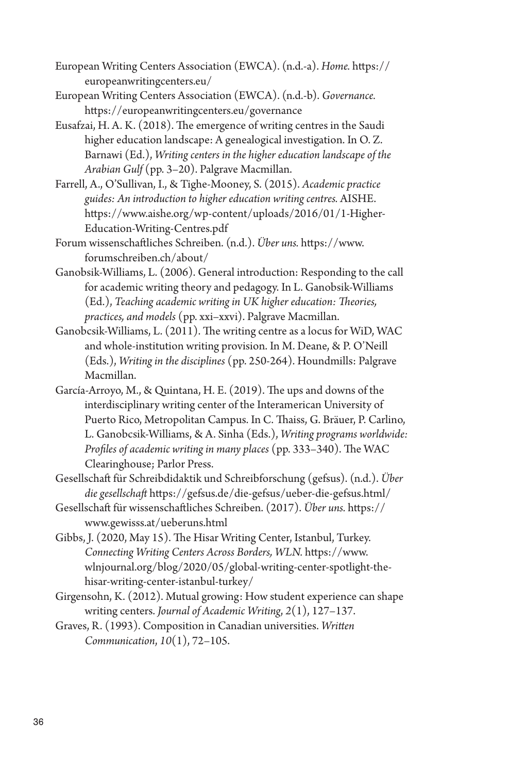- European Writing Centers Association (EWCA). (n.d.-a). *Home.* https:// europeanwritingcenters.eu/
- European Writing Centers Association (EWCA). (n.d.-b). *Governance.*  https://europeanwritingcenters.eu/governance
- Eusafzai, H. A. K. (2018). The emergence of writing centres in the Saudi higher education landscape: A genealogical investigation. In O. Z. Barnawi (Ed.), *Writing centers in the higher education landscape of the Arabian Gulf* (pp. 3–20). Palgrave Macmillan.
- Farrell, A., O'Sullivan, I., & Tighe-Mooney, S. (2015). *Academic practice guides: An introduction to higher education writing centres.* AISHE. https://www.aishe.org/wp-content/uploads/2016/01/1-Higher-Education-Writing-Centres.pdf
- Forum wissenschaftliches Schreiben. (n.d.). *Über uns.* https://www. forumschreiben.ch/about/
- Ganobsik-Williams, L. (2006). General introduction: Responding to the call for academic writing theory and pedagogy. In L. Ganobsik-Williams (Ed.), *Teaching academic writing in UK higher education: Theories, practices, and models* (pp. xxi–xxvi). Palgrave Macmillan.
- Ganobcsik-Williams, L. (2011). The writing centre as a locus for WiD, WAC and whole-institution writing provision. In M. Deane, & P. O'Neill (Eds.), *Writing in the disciplines* (pp. 250-264). Houndmills: Palgrave Macmillan.
- García-Arroyo, M., & Quintana, H. E. (2019). The ups and downs of the interdisciplinary writing center of the Interamerican University of Puerto Rico, Metropolitan Campus. In C. Thaiss, G. Bräuer, P. Carlino, L. Ganobcsik-Williams, & A. Sinha (Eds.), *Writing programs worldwide: Profiles of academic writing in many places* (pp. 333–340). The WAC Clearinghouse; Parlor Press.
- Gesellschaft für Schreibdidaktik und Schreibforschung (gefsus). (n.d.). *Über die gesellschaft* https://gefsus.de/die-gefsus/ueber-die-gefsus.html/
- Gesellschaft für wissenschaftliches Schreiben. (2017). *Über uns.* https:// www.gewisss.at/ueberuns.html
- Gibbs, J. (2020, May 15). The Hisar Writing Center, Istanbul, Turkey. *Connecting Writing Centers Across Borders, WLN.* https://www. wlnjournal.org/blog/2020/05/global-writing-center-spotlight-thehisar-writing-center-istanbul-turkey/
- Girgensohn, K. (2012). Mutual growing: How student experience can shape writing centers. *Journal of Academic Writing*, *2*(1), 127–137.
- Graves, R. (1993). Composition in Canadian universities. *Written Communication*, *10*(1), 72–105.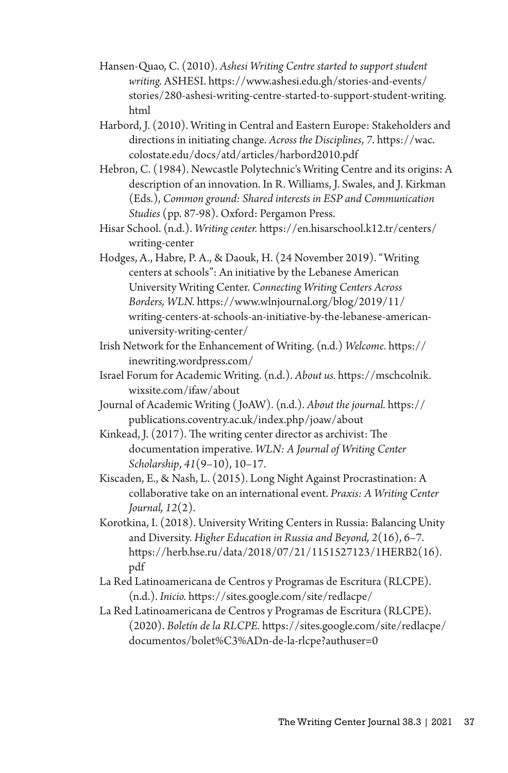- Hansen-Quao, C. (2010). *Ashesi Writing Centre started to support student writing.* ASHESI. https://www.ashesi.edu.gh/stories-and-events/ stories/280-ashesi-writing-centre-started-to-support-student-writing. html
- Harbord, J. (2010). Writing in Central and Eastern Europe: Stakeholders and directions in initiating change. *Across the Disciplines*, *7*. https://wac. colostate.edu/docs/atd/articles/harbord2010.pdf
- Hebron, C. (1984). Newcastle Polytechnic's Writing Centre and its origins: A description of an innovation. In R. Williams, J. Swales, and J. Kirkman (Eds.), *Common ground: Shared interests in ESP and Communication Studies* (pp. 87-98). Oxford: Pergamon Press.
- Hisar School. (n.d.). *Writing center.* https://en.hisarschool.k12.tr/centers/ writing-center
- Hodges, A., Habre, P. A., & Daouk, H. (24 November 2019). "Writing centers at schools": An initiative by the Lebanese American University Writing Center. *Connecting Writing Centers Across Borders, WLN.* https://www.wlnjournal.org/blog/2019/11/ writing-centers-at-schools-an-initiative-by-the-lebanese-americanuniversity-writing-center/
- Irish Network for the Enhancement of Writing. (n.d.) *Welcome*. https:// inewriting.wordpress.com/
- Israel Forum for Academic Writing. (n.d.). *About us.* https://mschcolnik. wixsite.com/ifaw/about
- Journal of Academic Writing ( JoAW). (n.d.). *About the journal.* https:// publications.coventry.ac.uk/index.php/joaw/about
- Kinkead, J. (2017). The writing center director as archivist: The documentation imperative. *WLN: A Journal of Writing Center Scholarship*, *41*(9–10), 10–17.
- Kiscaden, E., & Nash, L. (2015). Long Night Against Procrastination: A collaborative take on an international event. *Praxis: A Writing Center Journal, 12*(2).
- Korotkina, I. (2018). University Writing Centers in Russia: Balancing Unity and Diversity. *Higher Education in Russia and Beyond, 2*(16), 6–7. https://herb.hse.ru/data/2018/07/21/1151527123/1HERB2(16). pdf
- La Red Latinoamericana de Centros y Programas de Escritura (RLCPE). (n.d.). *Inicio.* https://sites.google.com/site/redlacpe/
- La Red Latinoamericana de Centros y Programas de Escritura (RLCPE). (2020). *Boletín de la RLCPE.* https://sites.google.com/site/redlacpe/ documentos/bolet%C3%ADn-de-la-rlcpe?authuser=0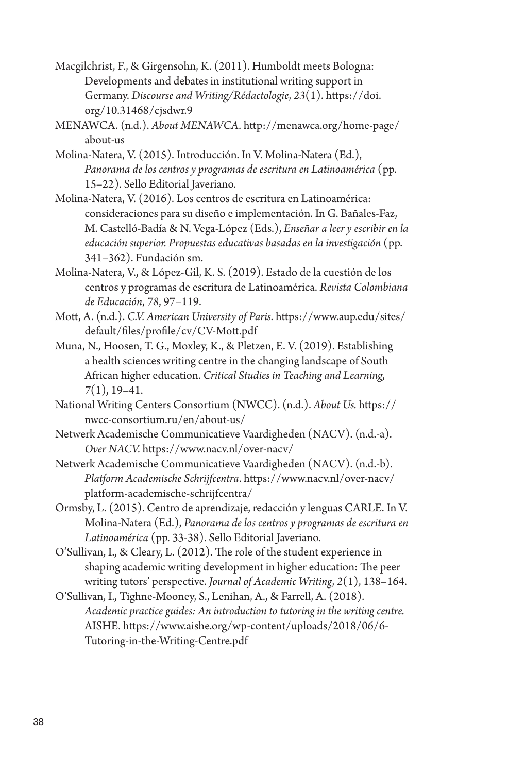- Macgilchrist, F., & Girgensohn, K. (2011). Humboldt meets Bologna: Developments and debates in institutional writing support in Germany. *Discourse and Writing/Rédactologie*, *23*(1). https://doi. org/10.31468/cjsdwr.9
- MENAWCA. (n.d.). *About MENAWCA.* http://menawca.org/home-page/ about-us
- Molina-Natera, V. (2015). Introducción. In V. Molina-Natera (Ed.), *Panorama de los centros y programas de escritura en Latinoamérica* (pp. 15–22). Sello Editorial Javeriano.
- Molina-Natera, V. (2016). Los centros de escritura en Latinoamérica: consideraciones para su diseño e implementación. In G. Bañales-Faz, M. Castelló-Badía & N. Vega-López (Eds.), *Enseñar a leer y escribir en la educación superior. Propuestas educativas basadas en la investigación* (pp. 341–362). Fundación sm.
- Molina-Natera, V., & López-Gil, K. S. (2019). Estado de la cuestión de los centros y programas de escritura de Latinoamérica. *Revista Colombiana de Educación*, *78*, 97–119.
- Mott, A. (n.d.). *C.V. American University of Paris.* https://www.aup.edu/sites/ default/files/profile/cv/CV-Mott.pdf
- Muna, N., Hoosen, T. G., Moxley, K., & Pletzen, E. V. (2019). Establishing a health sciences writing centre in the changing landscape of South African higher education. *Critical Studies in Teaching and Learning*, *7*(1), 19–41.
- National Writing Centers Consortium (NWCC). (n.d.). *About Us.* https:// nwcc-consortium.ru/en/about-us/
- Netwerk Academische Communicatieve Vaardigheden (NACV). (n.d.-a). *Over NACV.* https://www.nacv.nl/over-nacv/
- Netwerk Academische Communicatieve Vaardigheden (NACV). (n.d.-b). *Platform Academische Schrijfcentra*. https://www.nacv.nl/over-nacv/ platform-academische-schrijfcentra/
- Ormsby, L. (2015). Centro de aprendizaje, redacción y lenguas CARLE. In V. Molina-Natera (Ed.), *Panorama de los centros y programas de escritura en Latinoamérica* (pp. 33-38). Sello Editorial Javeriano.
- O'Sullivan, I., & Cleary, L. (2012). The role of the student experience in shaping academic writing development in higher education: The peer writing tutors' perspective. *Journal of Academic Writing*, *2*(1), 138–164.
- O'Sullivan, I., Tighne-Mooney, S., Lenihan, A., & Farrell, A. (2018). *Academic practice guides: An introduction to tutoring in the writing centre.*  AISHE. https://www.aishe.org/wp-content/uploads/2018/06/6- Tutoring-in-the-Writing-Centre.pdf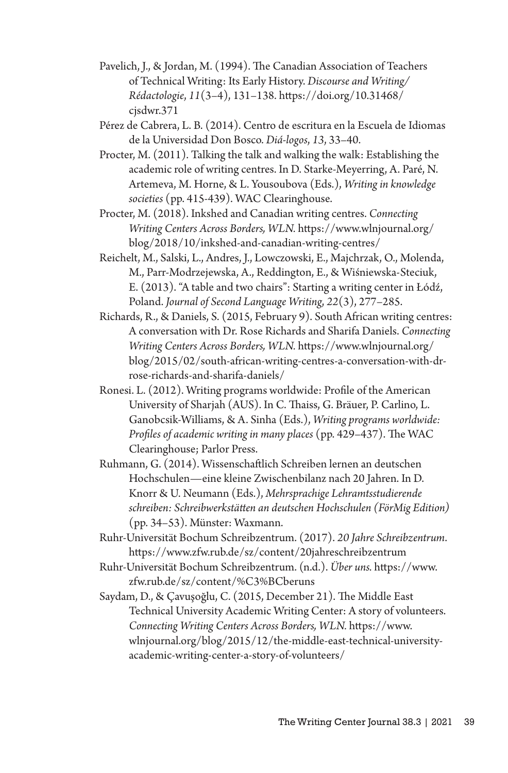- Pavelich, J., & Jordan, M. (1994). The Canadian Association of Teachers of Technical Writing: Its Early History. *Discourse and Writing/ Rédactologie*, *11*(3–4), 131–138. https://doi.org/10.31468/ cjsdwr.371
- Pérez de Cabrera, L. B. (2014). Centro de escritura en la Escuela de Idiomas de la Universidad Don Bosco. *Diá-logos*, *13*, 33–40.
- Procter, M. (2011). Talking the talk and walking the walk: Establishing the academic role of writing centres. In D. Starke-Meyerring, A. Paré, N. Artemeva, M. Horne, & L. Yousoubova (Eds.), *Writing in knowledge societies* (pp. 415-439). WAC Clearinghouse.
- Procter, M. (2018). Inkshed and Canadian writing centres. *Connecting Writing Centers Across Borders, WLN.* https://www.wlnjournal.org/ blog/2018/10/inkshed-and-canadian-writing-centres/
- Reichelt, M., Salski, L., Andres, J., Lowczowski, E., Majchrzak, O., Molenda, M., Parr-Modrzejewska, A., Reddington, E., & Wiśniewska-Steciuk, E. (2013). "A table and two chairs": Starting a writing center in Łódź, Poland. *Journal of Second Language Writing*, *22*(3), 277–285.
- Richards, R., & Daniels, S. (2015, February 9). South African writing centres: A conversation with Dr. Rose Richards and Sharifa Daniels. *Connecting Writing Centers Across Borders, WLN.* https://www.wlnjournal.org/ blog/2015/02/south-african-writing-centres-a-conversation-with-drrose-richards-and-sharifa-daniels/
- Ronesi. L. (2012). Writing programs worldwide: Profile of the American University of Sharjah (AUS). In C. Thaiss, G. Bräuer, P. Carlino, L. Ganobcsik-Williams, & A. Sinha (Eds.), *Writing programs worldwide: Profiles of academic writing in many places* (pp. 429–437). The WAC Clearinghouse; Parlor Press.
- Ruhmann, G. (2014). Wissenschaftlich Schreiben lernen an deutschen Hochschulen—eine kleine Zwischenbilanz nach 20 Jahren. In D. Knorr & U. Neumann (Eds.), *Mehrsprachige Lehramtsstudierende schreiben: Schreibwerkstätten an deutschen Hochschulen (FörMig Edition)* (pp. 34–53). Münster: Waxmann.
- Ruhr-Universität Bochum Schreibzentrum. (2017). *20 Jahre Schreibzentrum*. https://www.zfw.rub.de/sz/content/20jahreschreibzentrum
- Ruhr-Universität Bochum Schreibzentrum. (n.d.). *Über uns.* https://www. zfw.rub.de/sz/content/%C3%BCberuns
- Saydam, D., & Çavuşoğlu, C. (2015, December 21). The Middle East Technical University Academic Writing Center: A story of volunteers. *Connecting Writing Centers Across Borders, WLN.* https://www. wlnjournal.org/blog/2015/12/the-middle-east-technical-universityacademic-writing-center-a-story-of-volunteers/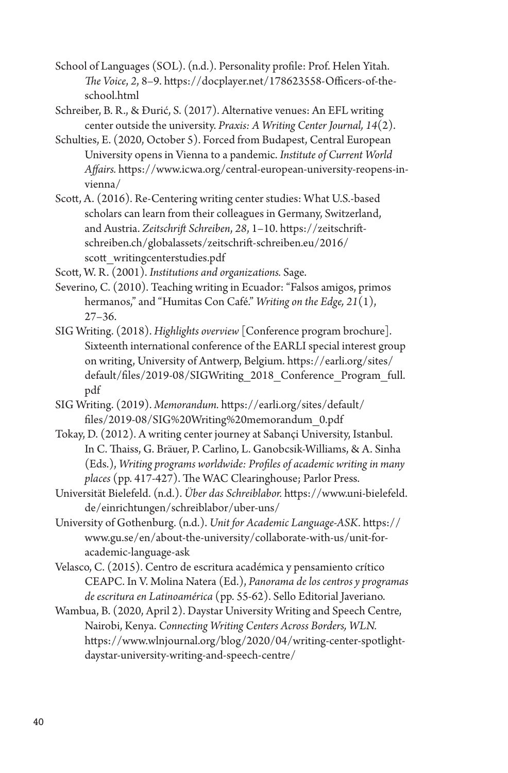School of Languages (SOL). (n.d.). Personality profile: Prof. Helen Yitah. *The Voice*, *2*, 8–9. https://docplayer.net/178623558-Officers-of-theschool.html

Schreiber, B. R., & Đurić, S. (2017). Alternative venues: An EFL writing center outside the university. *Praxis: A Writing Center Journal, 14*(2).

- Schulties, E. (2020, October 5). Forced from Budapest, Central European University opens in Vienna to a pandemic. *Institute of Current World Affairs.* https://www.icwa.org/central-european-university-reopens-invienna/
- Scott, A. (2016). Re-Centering writing center studies: What U.S.-based scholars can learn from their colleagues in Germany, Switzerland, and Austria. *Zeitschrift Schreiben*, *28*, 1–10. https://zeitschriftschreiben.ch/globalassets/zeitschrift-schreiben.eu/2016/ scott\_writingcenterstudies.pdf
- Scott, W. R. (2001). *Institutions and organizations.* Sage.
- Severino, C. (2010). Teaching writing in Ecuador: "Falsos amigos, primos hermanos," and "Humitas Con Café." *Writing on the Edge, 21*(1), 27–36.
- SIG Writing. (2018). *Highlights overview* [Conference program brochure]. Sixteenth international conference of the EARLI special interest group on writing, University of Antwerp, Belgium. https://earli.org/sites/ default/files/2019-08/SIGWriting\_2018\_Conference\_Program\_full. pdf
- SIG Writing. (2019). *Memorandum.* https://earli.org/sites/default/ files/2019-08/SIG%20Writing%20memorandum\_0.pdf
- Tokay, D. (2012). A writing center journey at Sabançi University, Istanbul. In C. Thaiss, G. Bräuer, P. Carlino, L. Ganobcsik-Williams, & A. Sinha (Eds.), *Writing programs worldwide: Profiles of academic writing in many places* (pp. 417-427). The WAC Clearinghouse; Parlor Press.
- Universität Bielefeld. (n.d.). *Über das Schreiblabor.* https://www.uni-bielefeld. de/einrichtungen/schreiblabor/uber-uns/
- University of Gothenburg. (n.d.). *Unit for Academic Language-ASK.* https:// www.gu.se/en/about-the-university/collaborate-with-us/unit-foracademic-language-ask
- Velasco, C. (2015). Centro de escritura académica y pensamiento crítico CEAPC. In V. Molina Natera (Ed.), *Panorama de los centros y programas de escritura en Latinoamérica* (pp. 55-62). Sello Editorial Javeriano.
- Wambua, B. (2020, April 2). Daystar University Writing and Speech Centre, Nairobi, Kenya. *Connecting Writing Centers Across Borders, WLN.*  https://www.wlnjournal.org/blog/2020/04/writing-center-spotlightdaystar-university-writing-and-speech-centre/